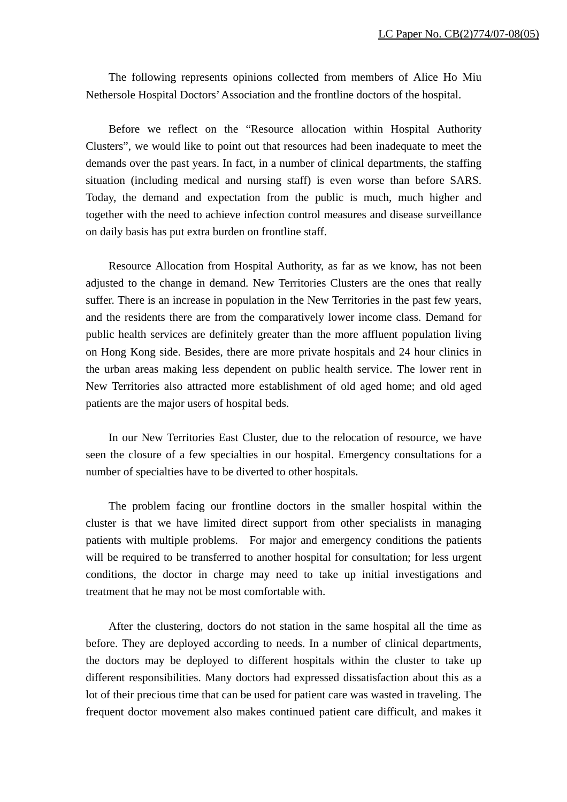The following represents opinions collected from members of Alice Ho Miu Nethersole Hospital Doctors' Association and the frontline doctors of the hospital.

Before we reflect on the "Resource allocation within Hospital Authority Clusters", we would like to point out that resources had been inadequate to meet the demands over the past years. In fact, in a number of clinical departments, the staffing situation (including medical and nursing staff) is even worse than before SARS. Today, the demand and expectation from the public is much, much higher and together with the need to achieve infection control measures and disease surveillance on daily basis has put extra burden on frontline staff.

Resource Allocation from Hospital Authority, as far as we know, has not been adjusted to the change in demand. New Territories Clusters are the ones that really suffer. There is an increase in population in the New Territories in the past few years, and the residents there are from the comparatively lower income class. Demand for public health services are definitely greater than the more affluent population living on Hong Kong side. Besides, there are more private hospitals and 24 hour clinics in the urban areas making less dependent on public health service. The lower rent in New Territories also attracted more establishment of old aged home; and old aged patients are the major users of hospital beds.

In our New Territories East Cluster, due to the relocation of resource, we have seen the closure of a few specialties in our hospital. Emergency consultations for a number of specialties have to be diverted to other hospitals.

The problem facing our frontline doctors in the smaller hospital within the cluster is that we have limited direct support from other specialists in managing patients with multiple problems. For major and emergency conditions the patients will be required to be transferred to another hospital for consultation; for less urgent conditions, the doctor in charge may need to take up initial investigations and treatment that he may not be most comfortable with.

After the clustering, doctors do not station in the same hospital all the time as before. They are deployed according to needs. In a number of clinical departments, the doctors may be deployed to different hospitals within the cluster to take up different responsibilities. Many doctors had expressed dissatisfaction about this as a lot of their precious time that can be used for patient care was wasted in traveling. The frequent doctor movement also makes continued patient care difficult, and makes it